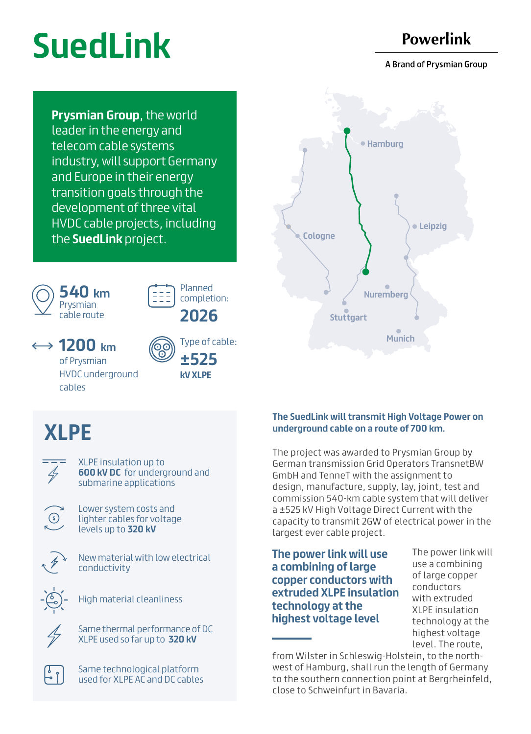# **SuedLink**

### **Powerlink**

A Brand of Prysmian Group

**Prysmian Group**, the world leader in the energy and telecom cable systems industry, will support Germany and Europe in their energy transition goals through the development of three vital HVDC cable projects, including the **SuedLink** project.





Planned completion: **2026** 

**1200 km** 

of Prysmian HVDC underground cables



Type of cable: **±525 kV XLPE**

## **XLPE**



XLPE insulation up to **600 kV DC** for underground and submarine applications

Lower system costs and lighter cables for voltage levels up to **320 kV** 



 $\odot$ 

New material with low electrical conductivity



High material cleanliness



ြို و

Same thermal performance of DC XLPE used so far up to **320 kV** 

Same technological platform used for XLPE AC and DC cables



#### **The SuedLink will transmit High Voltage Power on underground cable on a route of 700 km.**

The project was awarded to Prysmian Group by German transmission Grid Operators TransnetBW GmbH and TenneT with the assignment to design, manufacture, supply, lay, joint, test and commission 540-km cable system that will deliver a ±525 kV High Voltage Direct Current with the capacity to transmit 2GW of electrical power in the largest ever cable project.

**The power link will use a combining of large copper conductors with extruded XLPE insulation technology at the highest voltage level**

The power link will use a combining of large copper conductors with extruded XLPE insulation technology at the highest voltage level. The route,

from Wilster in Schleswig-Holstein, to the northwest of Hamburg, shall run the length of Germany to the southern connection point at Bergrheinfeld, close to Schweinfurt in Bavaria.